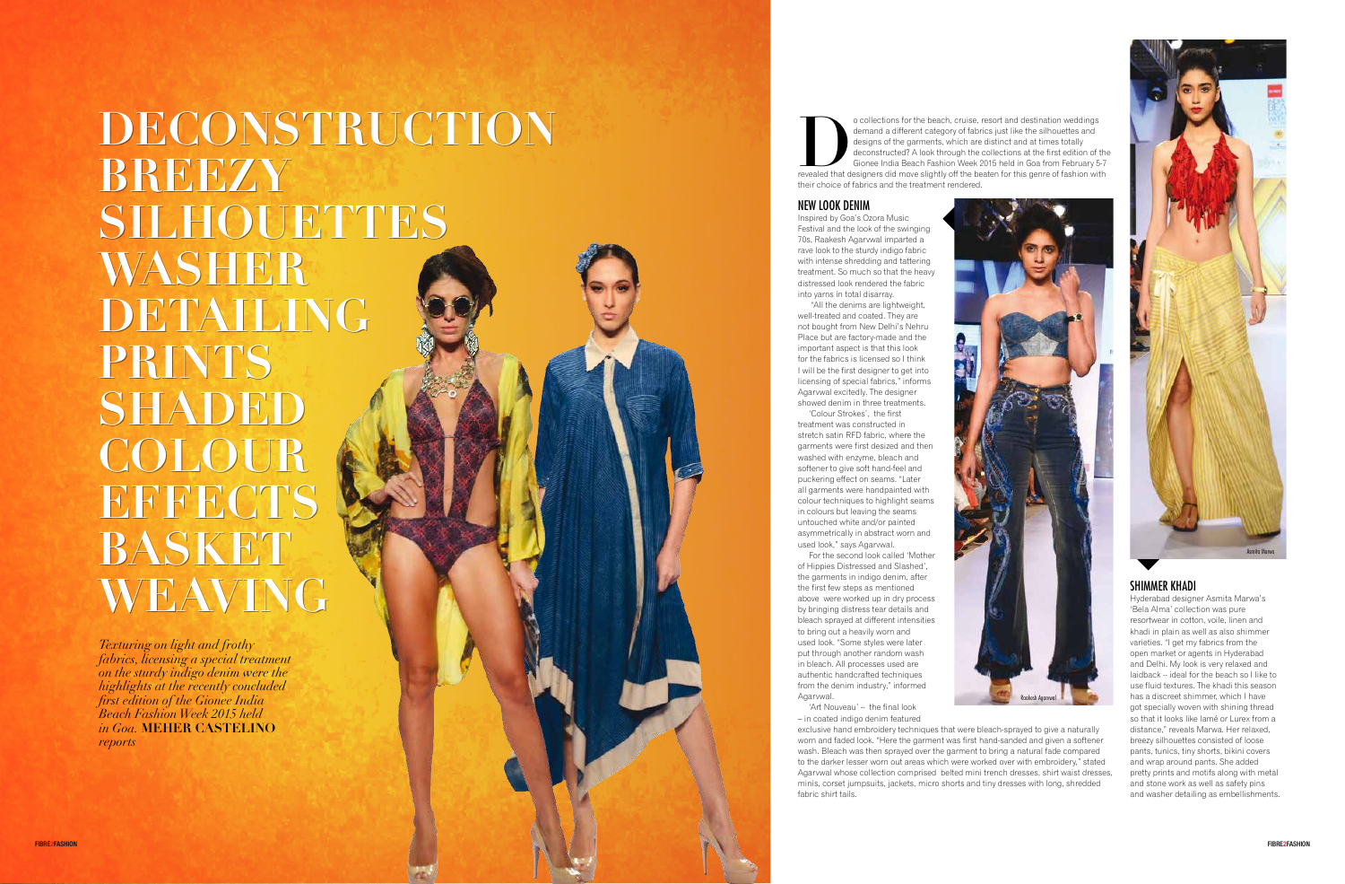# **DECONSTRUCTION DECONSTRUCTION BREEZY BREEZY SILHOUETTES SILHOUETTES WASHER WASHER DETAILING DETAILING PRINTS PRINTS SHADED SHADED COLOUR COLOUR EFFECTS EFFECTS BASKET BASKET WEAVING WEAVING**

*Texturing on light and frothy fabrics, licensing a special treatment on the sturdy indigo denim were the highlights at the recently concluded first edition of the Gionee India Beach Fashion Week 2015 held in Goa.* **MEHER CASTELINO** *reports*

o collections for the beach, cruise, resort and destination weddings<br>demand a different category of fabrics just like the silhouettes and<br>designs of the garments, which are distinct and at times totally<br>deconstructed? A lo demand a different category of fabrics just like the silhouettes and designs of the garments, which are distinct and at times totally deconstructed? A look through the collections at the first edition of the Gionee India Beach Fashion Week 2015 held in Goa from February 5-7 their choice of fabrics and the treatment rendered.

#### NEW LOOK DENIM

For the second look called 'Mother of Hippies Distressed and Slashed', the garments in indigo denim, after the first few steps as mentioned above were worked up in dry process by bringing distress tear details and bleach sprayed at different intensities to bring out a heavily worn and used look. "Some styles were later put through another random wash in bleach. All processes used are authentic handcrafted techniques from the denim industry," informed Agarwwal

Inspired by Goa's Ozora Music Festival and the look of the swinging 70s, Raakesh Agarvwal imparted a rave look to the sturdy indigo fabric with intense shredding and tattering treatment. So much so that the heavy distressed look rendered the fabric into yarns in total disarray.

 "All the denims are lightweight, well-treated and coated. They are not bought from New Delhi's Nehru Place but are factory-made and the important aspect is that this look for the fabrics is licensed so I think I will be the first designer to get into licensing of special fabrics," informs Agarvwal excitedly. The designer showed denim in three treatments.

'Colour Strokes', the first treatment was constructed in stretch satin RFD fabric, where the garments were first desized and then washed with enzyme, bleach and softener to give soft hand-feel and puckering effect on seams. "Later all garments were handpainted with colour techniques to highlight seams in colours but leaving the seams untouched white and/or painted asymmetrically in abstract worn and used look," says Agarvwal.

'Art Nouveau' -- the final look – in coated indigo denim featured exclusive hand embroidery techniques that were bleach-sprayed to give a naturally worn and faded look. "Here the garment was first hand-sanded and given a softener wash. Bleach was then sprayed over the garment to bring a natural fade compared to the darker lesser worn out areas which were worked over with embroidery," stated Agarvwal whose collection comprised belted mini trench dresses, shirt waist dresses, minis, corset jumpsuits, jackets, micro shorts and tiny dresses with long, shredded fabric shirt tails.



## SHIMMER KHADI

Hyderabad designer Asmita Marwa's 'Bela Alma' collection was pure resortwear in cotton, voile, linen and khadi in plain as well as also shimmer varieties. "I get my fabrics from the open market or agents in Hyderabad and Delhi. My look is very relaxed and laidback -- ideal for the beach so I like to use fluid textures. The khadi this season has a discreet shimmer, which I have got specially woven with shining thread so that it looks like lamé or Lurex from a distance," reveals Marwa. Her relaxed, breezy silhouettes consisted of loose pants, tunics, tiny shorts, bikini covers and wrap around pants. She added pretty prints and motifs along with metal and stone work as well as safety pins and washer detailing as embellishments.

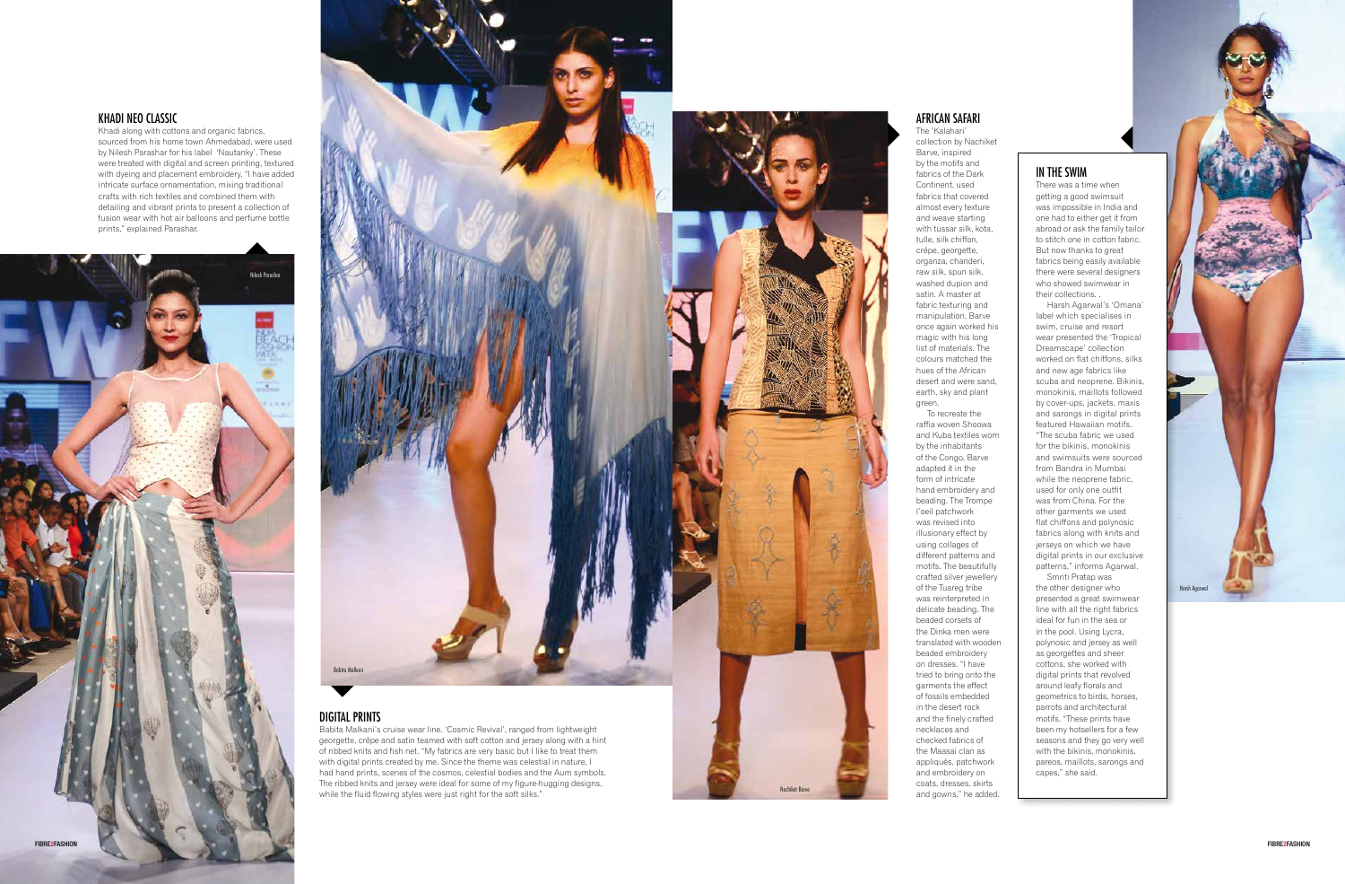

#### KHADI NEO CLASSIC

Khadi along with cottons and organic fabrics, sourced from his home town Ahmedabad, were used by Nilesh Parashar for his label 'Nautanky'. These were treated with digital and screen printing, textured with dyeing and placement embroidery. "I have added intricate surface ornamentation, mixing traditional crafts with rich textiles and combined them with detailing and vibrant prints to present a collection of fusion wear with hot air balloons and perfume bottle prints," explained Parashar.

> To recreate the raffia woven Shoowa and Kuba textiles worn by the inhabitants of the Congo, Barve adapted it in the form of intricate hand embroidery and beading. The Trompe l'oeil patchwork was revised into illusionary effect by using collages of different patterns and motifs. The beautifully crafted silver jewellery of the Tuareg tribe was reinterpreted in delicate beading. The beaded corsets of the Dinka men were translated with wooden beaded embroidery on dresses. "I have tried to bring onto the garments the effect of fossils embedded in the desert rock and the finely crafted necklaces and checked fabrics of the Maasai clan as appliqués, patchwork and embroidery on coats, dresses, skirts and gowns," he added.



of ribbed knits and fish net. "My fabrics are very basic but I like to treat them with digital prints created by me. Since the theme was celestial in nature, I had hand prints, scenes of the cosmos, celestial bodies and the Aum symbols. The ribbed knits and jersey were ideal for some of my figure-hugging designs, while the fluid flowing styles were just right for the soft silks."

### AFRICAN SAFARI

The 'Kalahari' collection by Nachiket Barve, inspired by the motifs and fabrics of the Dark Continent, used fabrics that covered almost every texture and weave starting with tussar silk, kota, tulle, silk chiffon, crépe, georgette, organza, chanderi, raw silk, spun silk, washed dupion and satin. A master at fabric texturing and manipulation, Barve once again worked his magic with his long list of materials. The colours matched the hues of the African desert and were sand, earth, sky and plant green.

## IN THE SWIM

There was a time when getting a good swimsuit was impossible in India and one had to either get it from abroad or ask the family tailor to stitch one in cotton fabric. But now thanks to great fabrics being easily available there were several designers who showed swimwear in their collections. .

Harsh Agarwal's 'Omana' label which specialises in swim, cruise and resort wear presented the 'Tropical Dreamscape' collection worked on flat chiffons, silks and new age fabrics like scuba and neoprene. Bikinis, monokinis, maillots followed by cover-ups, jackets, maxis and sarongs in digital prints featured Hawaiian motifs. "The scuba fabric we used for the bikinis, monokinis and swimsuits were sourced from Bandra in Mumbai while the neoprene fabric, used for only one outfit was from China. For the other garments we used flat chiffons and polynosic fabrics along with knits and jerseys on which we have digital prints in our exclusive patterns," informs Agarwal.

Smriti Pratap was the other designer who presented a great swimwear line with all the right fabrics ideal for fun in the sea or in the pool. Using Lycra, polynosic and jersey as well as georgettes and sheer cottons, she worked with digital prints that revolved around leafy florals and geometrics to birds, horses, parrots and architectural motifs. "These prints have been my hotsellers for a few seasons and they go very well with the bikinis, monokinis, pareos, maillots, sarongs and capes," she said.

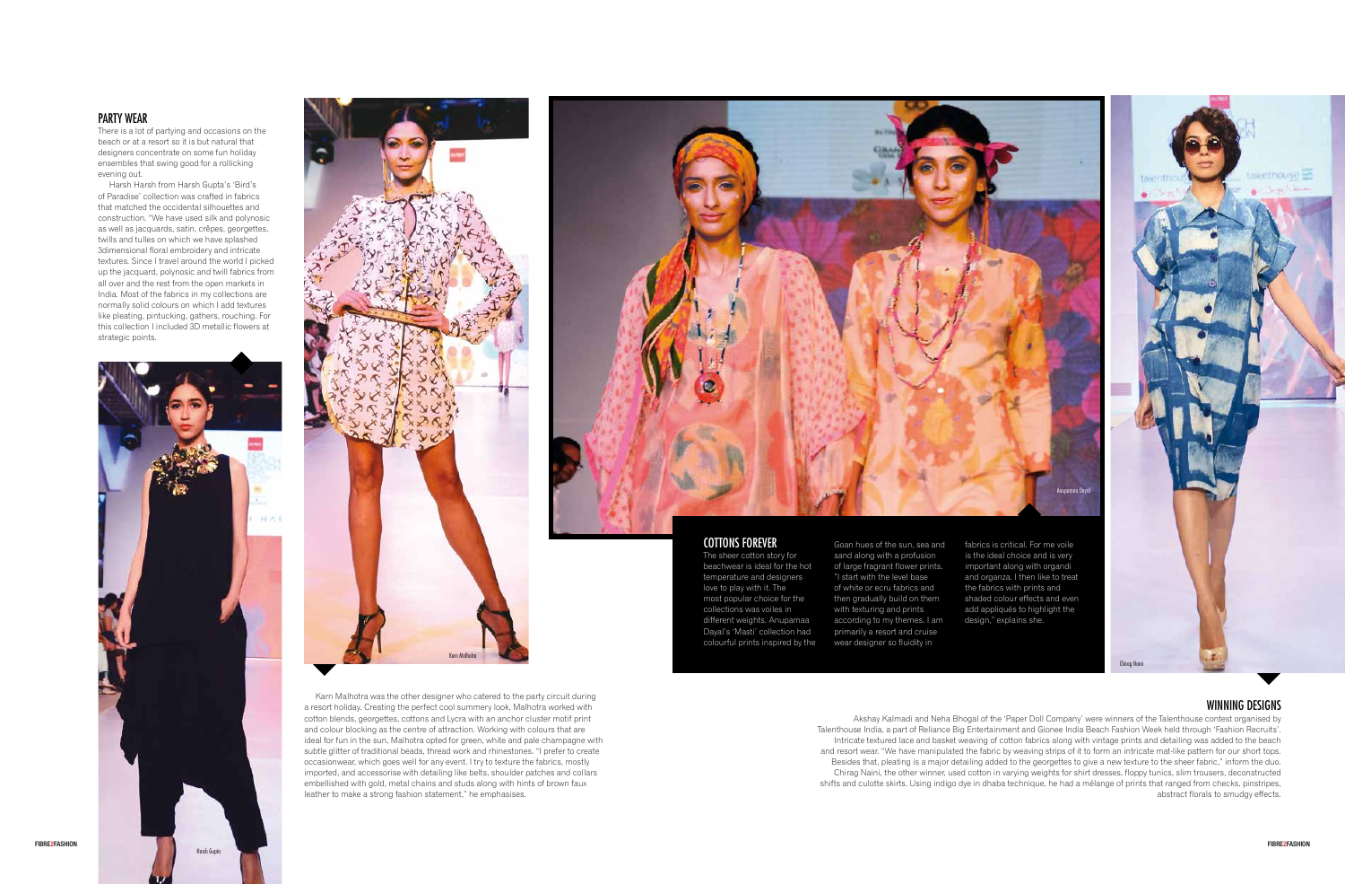#### PARTY WEAR

There is a lot of partying and occasions on the beach or at a resort so it is but natural that designers concentrate on some fun holiday ensembles that swing good for a rollicking evening out.



Harsh Harsh from Harsh Gupta's 'Bird's of Paradise' collection was crafted in fabrics that matched the occidental silhouettes and construction. "We have used silk and polynosic as well as jacquards, satin, crêpes, georgettes, twills and tulles on which we have splashed 3dimensional floral embroidery and intricate textures. Since I travel around the world I picked up the jacquard, polynosic and twill fabrics from all over and the rest from the open markets in India. Most of the fabrics in my collections are normally solid colours on which I add textures like pleating, pintucking, gathers, rouching. For this collection I included 3D metallic flowers at strategic points.

> Karn Malhotra was the other designer who catered to the party circuit during a resort holiday. Creating the perfect cool summery look, Malhotra worked with cotton blends, georgettes, cottons and Lycra with an anchor cluster motif print and colour blocking as the centre of attraction. Working with colours that are ideal for fun in the sun, Malhotra opted for green, white and pale champagne with subtle glitter of traditional beads, thread work and rhinestones. "I prefer to create occasionwear, which goes well for any event. I try to texture the fabrics, mostly imported, and accessorise with detailing like belts, shoulder patches and collars embellished with gold, metal chains and studs along with hints of brown faux leather to make a strong fashion statement," he emphasises.



#### COTTONS FOREVER

The sheer cotton story for beachwear is ideal for the hot temperature and designers love to play with it. The most popular choice for the collections was voiles in different weights. Anupamaa Dayal's 'Masti' collection had colourful prints inspired by the Goan hues of the sun, sea and sand along with a profusion of large fragrant flower prints. "I start with the level base of white or ecru fabrics and then gradually build on them with texturing and prints according to my themes. I am primarily a resort and cruise wear designer so fluidity in

fabrics is critical. For me voile is the ideal choice and is very important along with organdi and organza. I then like to treat the fabrics with prints and shaded colour effects and even add appliqués to highlight the design," explains she.

**Chirag Nain** 



## WINNING DESIGNS

alenthouse

Akshay Kalmadi and Neha Bhogal of the 'Paper Doll Company' were winners of the Talenthouse contest organised by Talenthouse India, a part of Reliance Big Entertainment and Gionee India Beach Fashion Week held through 'Fashion Recruits'. Intricate textured lace and basket weaving of cotton fabrics along with vintage prints and detailing was added to the beach and resort wear. "We have manipulated the fabric by weaving strips of it to form an intricate mat-like pattern for our short tops. Besides that, pleating is a major detailing added to the georgettes to give a new texture to the sheer fabric," inform the duo. Chirag Naini, the other winner, used cotton in varying weights for shirt dresses, floppy tunics, slim trousers, deconstructed shifts and culotte skirts. Using indigo dye in dhaba technique, he had a mélange of prints that ranged from checks, pinstripes, abstract florals to smudgy effects.